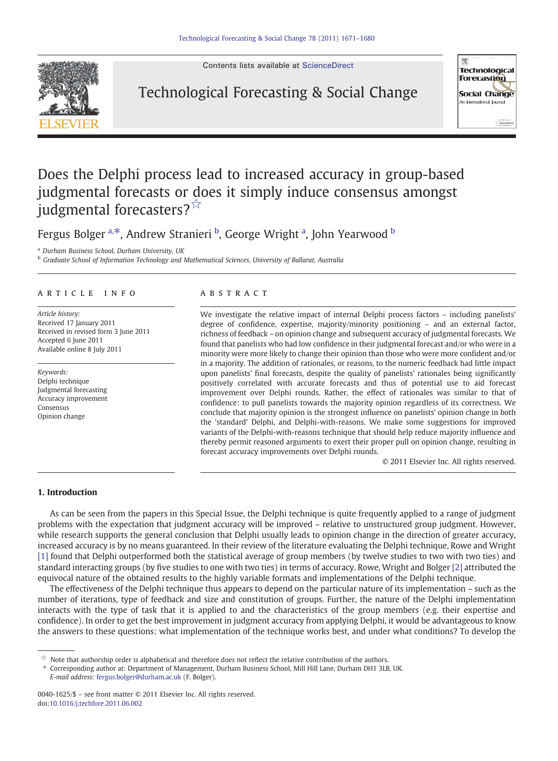Contents lists available at [ScienceDirect](http://www.sciencedirect.com/science/journal/00401625)



Technological Forecasting & Social Change



## Does the Delphi process lead to increased accuracy in group-based judgmental forecasts or does it simply induce consensus amongst iudgmental forecasters?<sup>☆</sup>

Fergus Bolger <sup>a,\*</sup>, Andrew Stranieri <sup>b</sup>, George Wright <sup>a</sup>, John Yearwood <sup>b</sup>

<sup>a</sup> Durham Business School, Durham University, UK

**b Graduate School of Information Technology and Mathematical Sciences, University of Ballarat, Australia** 

### article info abstract

Article history: Received 17 January 2011 Received in revised form 3 June 2011 Accepted 6 June 2011 Available online 8 July 2011

Keywords: Delphi technique Judgmental forecasting Accuracy improvement Consensus Opinion change

We investigate the relative impact of internal Delphi process factors – including panelists' degree of confidence, expertise, majority/minority positioning – and an external factor, richness of feedback – on opinion change and subsequent accuracy of judgmental forecasts. We found that panelists who had low confidence in their judgmental forecast and/or who were in a minority were more likely to change their opinion than those who were more confident and/or in a majority. The addition of rationales, or reasons, to the numeric feedback had little impact upon panelists' final forecasts, despite the quality of panelists' rationales being significantly positively correlated with accurate forecasts and thus of potential use to aid forecast improvement over Delphi rounds. Rather, the effect of rationales was similar to that of confidence: to pull panelists towards the majority opinion regardless of its correctness. We conclude that majority opinion is the strongest influence on panelists' opinion change in both the 'standard' Delphi, and Delphi-with-reasons. We make some suggestions for improved variants of the Delphi-with-reasons technique that should help reduce majority influence and thereby permit reasoned arguments to exert their proper pull on opinion change, resulting in forecast accuracy improvements over Delphi rounds.

© 2011 Elsevier Inc. All rights reserved.

### 1. Introduction

As can be seen from the papers in this Special Issue, the Delphi technique is quite frequently applied to a range of judgment problems with the expectation that judgment accuracy will be improved – relative to unstructured group judgment. However, while research supports the general conclusion that Delphi usually leads to opinion change in the direction of greater accuracy, increased accuracy is by no means guaranteed. In their review of the literature evaluating the Delphi technique, Rowe and Wright [\[1\]](#page--1-0) found that Delphi outperformed both the statistical average of group members (by twelve studies to two with two ties) and standard interacting groups (by five studies to one with two ties) in terms of accuracy. Rowe, Wright and Bolger [\[2\]](#page--1-0) attributed the equivocal nature of the obtained results to the highly variable formats and implementations of the Delphi technique.

The effectiveness of the Delphi technique thus appears to depend on the particular nature of its implementation – such as the number of iterations, type of feedback and size and constitution of groups. Further, the nature of the Delphi implementation interacts with the type of task that it is applied to and the characteristics of the group members (e.g. their expertise and confidence). In order to get the best improvement in judgment accuracy from applying Delphi, it would be advantageous to know the answers to these questions: what implementation of the technique works best, and under what conditions? To develop the

⁎ Corresponding author at: Department of Management, Durham Business School, Mill Hill Lane, Durham DH1 3LB, UK. E-mail address: [fergus.bolger@durham.ac.uk](mailto:fergus.bolger@durham.ac.uk) (F. Bolger).

 $\overrightarrow{x}$  Note that authorship order is alphabetical and therefore does not reflect the relative contribution of the authors.

<sup>0040-1625/\$</sup> – see front matter © 2011 Elsevier Inc. All rights reserved. doi[:10.1016/j.techfore.2011.06.002](http://dx.doi.org/10.1016/j.techfore.2011.06.002)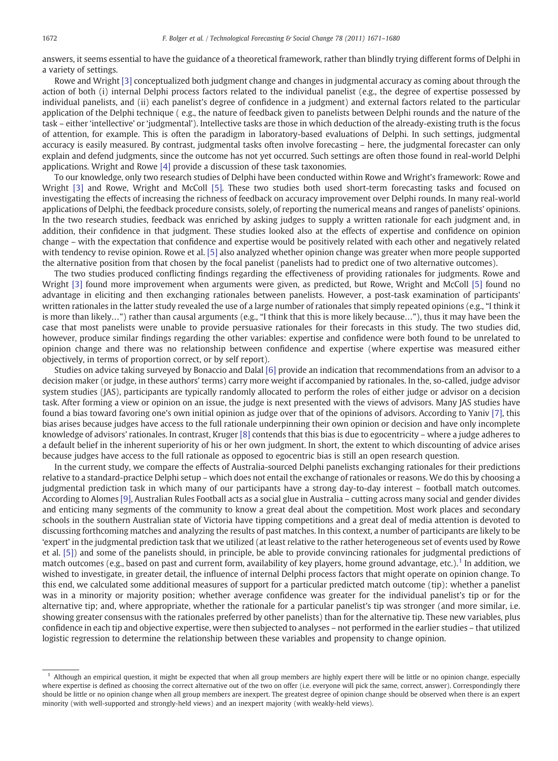answers, it seems essential to have the guidance of a theoretical framework, rather than blindly trying different forms of Delphi in a variety of settings.

Rowe and Wright [\[3\]](#page--1-0) conceptualized both judgment change and changes in judgmental accuracy as coming about through the action of both (i) internal Delphi process factors related to the individual panelist (e.g., the degree of expertise possessed by individual panelists, and (ii) each panelist's degree of confidence in a judgment) and external factors related to the particular application of the Delphi technique ( e.g., the nature of feedback given to panelists between Delphi rounds and the nature of the task – either 'intellective' or 'judgmental'). Intellective tasks are those in which deduction of the already-existing truth is the focus of attention, for example. This is often the paradigm in laboratory-based evaluations of Delphi. In such settings, judgmental accuracy is easily measured. By contrast, judgmental tasks often involve forecasting – here, the judgmental forecaster can only explain and defend judgments, since the outcome has not yet occurred. Such settings are often those found in real-world Delphi applications. Wright and Rowe [\[4\]](#page--1-0) provide a discussion of these task taxonomies.

To our knowledge, only two research studies of Delphi have been conducted within Rowe and Wright's framework: Rowe and Wright [\[3\]](#page--1-0) and Rowe, Wright and McColl [\[5\].](#page--1-0) These two studies both used short-term forecasting tasks and focused on investigating the effects of increasing the richness of feedback on accuracy improvement over Delphi rounds. In many real-world applications of Delphi, the feedback procedure consists, solely, of reporting the numerical means and ranges of panelists' opinions. In the two research studies, feedback was enriched by asking judges to supply a written rationale for each judgment and, in addition, their confidence in that judgment. These studies looked also at the effects of expertise and confidence on opinion change – with the expectation that confidence and expertise would be positively related with each other and negatively related with tendency to revise opinion. Rowe et al. [\[5\]](#page--1-0) also analyzed whether opinion change was greater when more people supported the alternative position from that chosen by the focal panelist (panelists had to predict one of two alternative outcomes).

The two studies produced conflicting findings regarding the effectiveness of providing rationales for judgments. Rowe and Wright [\[3\]](#page--1-0) found more improvement when arguments were given, as predicted, but Rowe, Wright and McColl [\[5\]](#page--1-0) found no advantage in eliciting and then exchanging rationales between panelists. However, a post-task examination of participants' written rationales in the latter study revealed the use of a large number of rationales that simply repeated opinions (e.g., "I think it is more than likely…") rather than causal arguments (e.g., "I think that this is more likely because…"), thus it may have been the case that most panelists were unable to provide persuasive rationales for their forecasts in this study. The two studies did, however, produce similar findings regarding the other variables: expertise and confidence were both found to be unrelated to opinion change and there was no relationship between confidence and expertise (where expertise was measured either objectively, in terms of proportion correct, or by self report).

Studies on advice taking surveyed by Bonaccio and Dalal [\[6\]](#page--1-0) provide an indication that recommendations from an advisor to a decision maker (or judge, in these authors' terms) carry more weight if accompanied by rationales. In the, so-called, judge advisor system studies (JAS), participants are typically randomly allocated to perform the roles of either judge or advisor on a decision task. After forming a view or opinion on an issue, the judge is next presented with the views of advisors. Many JAS studies have found a bias toward favoring one's own initial opinion as judge over that of the opinions of advisors. According to Yaniv [\[7\],](#page--1-0) this bias arises because judges have access to the full rationale underpinning their own opinion or decision and have only incomplete knowledge of advisors' rationales. In contrast, Kruger [\[8\]](#page--1-0) contends that this bias is due to egocentricity – where a judge adheres to a default belief in the inherent superiority of his or her own judgment. In short, the extent to which discounting of advice arises because judges have access to the full rationale as opposed to egocentric bias is still an open research question.

In the current study, we compare the effects of Australia-sourced Delphi panelists exchanging rationales for their predictions relative to a standard-practice Delphi setup – which does not entail the exchange of rationales or reasons. We do this by choosing a judgmental prediction task in which many of our participants have a strong day-to-day interest – football match outcomes. According to Alomes [\[9\],](#page--1-0) Australian Rules Football acts as a social glue in Australia – cutting across many social and gender divides and enticing many segments of the community to know a great deal about the competition. Most work places and secondary schools in the southern Australian state of Victoria have tipping competitions and a great deal of media attention is devoted to discussing forthcoming matches and analyzing the results of past matches. In this context, a number of participants are likely to be 'expert' in the judgmental prediction task that we utilized (at least relative to the rather heterogeneous set of events used by Rowe et al. [\[5\]\)](#page--1-0) and some of the panelists should, in principle, be able to provide convincing rationales for judgmental predictions of match outcomes (e.g., based on past and current form, availability of key players, home ground advantage, etc.).<sup>1</sup> In addition, we wished to investigate, in greater detail, the influence of internal Delphi process factors that might operate on opinion change. To this end, we calculated some additional measures of support for a particular predicted match outcome (tip): whether a panelist was in a minority or majority position; whether average confidence was greater for the individual panelist's tip or for the alternative tip; and, where appropriate, whether the rationale for a particular panelist's tip was stronger (and more similar, i.e. showing greater consensus with the rationales preferred by other panelists) than for the alternative tip. These new variables, plus confidence in each tip and objective expertise, were then subjected to analyses – not performed in the earlier studies – that utilized logistic regression to determine the relationship between these variables and propensity to change opinion.

<sup>&</sup>lt;sup>1</sup> Although an empirical question, it might be expected that when all group members are highly expert there will be little or no opinion change, especially where expertise is defined as choosing the correct alternative out of the two on offer (i.e. everyone will pick the same, correct, answer). Correspondingly there should be little or no opinion change when all group members are inexpert. The greatest degree of opinion change should be observed when there is an expert minority (with well-supported and strongly-held views) and an inexpert majority (with weakly-held views).